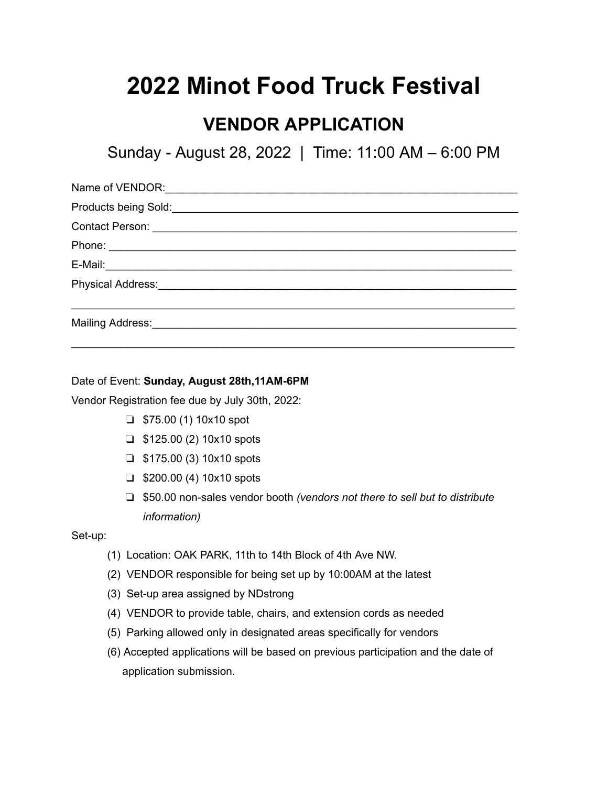## **2022 Minot Food Truck Festival**

## **VENDOR APPLICATION**

Sunday - August 28, 2022 | Time: 11:00 AM – 6:00 PM

| Products being Sold:<br><u> Letter and the set of the set of the set of the set of the set of the set of the set of the set of the set of the set of the set of the set of the set of the set of the set of the set of the set of </u> |
|----------------------------------------------------------------------------------------------------------------------------------------------------------------------------------------------------------------------------------------|
|                                                                                                                                                                                                                                        |
|                                                                                                                                                                                                                                        |
|                                                                                                                                                                                                                                        |
| Physical Address: <u>___________________________</u>                                                                                                                                                                                   |
|                                                                                                                                                                                                                                        |

Date of Event: **Sunday, August 28th,11AM-6PM**

Vendor Registration fee due by July 30th, 2022:

- $\Box$  \$75.00 (1) 10x10 spot
- $\Box$  \$125.00 (2) 10x10 spots
- ❏ \$175.00 (3) 10x10 spots
- ❏ \$200.00 (4) 10x10 spots
- ❏ \$50.00 non-sales vendor booth *(vendors not there to sell but to distribute information)*

Set-up:

- (1) Location: OAK PARK, 11th to 14th Block of 4th Ave NW.
- (2) VENDOR responsible for being set up by 10:00AM at the latest
- (3) Set-up area assigned by NDstrong
- (4) VENDOR to provide table, chairs, and extension cords as needed
- (5) Parking allowed only in designated areas specifically for vendors
- (6) Accepted applications will be based on previous participation and the date of application submission.